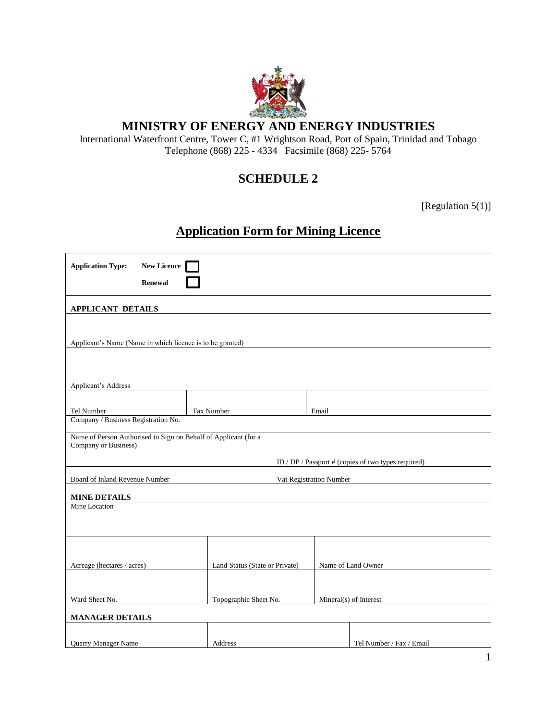

## **MINISTRY OF ENERGY AND ENERGY INDUSTRIES**

International Waterfront Centre, Tower C, #1 Wrightson Road, Port of Spain, Trinidad and Tobago Telephone (868) 225 - 4334 Facsimile (868) 225- 5764

# **SCHEDULE 2**

[Regulation 5(1)]

# **Application Form for Mining Licence**

| <b>Application Type:</b>                                                                                                                       | <b>New Licence</b><br><b>Renewal</b> |                                |                         |       |                          |  |
|------------------------------------------------------------------------------------------------------------------------------------------------|--------------------------------------|--------------------------------|-------------------------|-------|--------------------------|--|
| <b>APPLICANT DETAILS</b>                                                                                                                       |                                      |                                |                         |       |                          |  |
| Applicant's Name (Name in which licence is to be granted)                                                                                      |                                      |                                |                         |       |                          |  |
| Applicant's Address                                                                                                                            |                                      |                                |                         |       |                          |  |
| Tel Number                                                                                                                                     |                                      | Fax Number                     |                         | Email |                          |  |
| Company / Business Registration No.                                                                                                            |                                      |                                |                         |       |                          |  |
| Name of Person Authorised to Sign on Behalf of Applicant (for a<br>Company or Business)<br>ID / DP / Passport # (copies of two types required) |                                      |                                |                         |       |                          |  |
| Board of Inland Revenue Number                                                                                                                 |                                      |                                | Vat Registration Number |       |                          |  |
| <b>MINE DETAILS</b>                                                                                                                            |                                      |                                |                         |       |                          |  |
| Mine Location                                                                                                                                  |                                      |                                |                         |       |                          |  |
| Acreage (hectares / acres)                                                                                                                     |                                      | Land Status (State or Private) |                         |       | Name of Land Owner       |  |
| Ward Sheet No.                                                                                                                                 |                                      | Topographic Sheet No.          |                         |       | Mineral(s) of Interest   |  |
| <b>MANAGER DETAILS</b>                                                                                                                         |                                      |                                |                         |       |                          |  |
|                                                                                                                                                |                                      |                                |                         |       |                          |  |
| Quarry Manager Name                                                                                                                            |                                      | Address                        |                         |       | Tel Number / Fax / Email |  |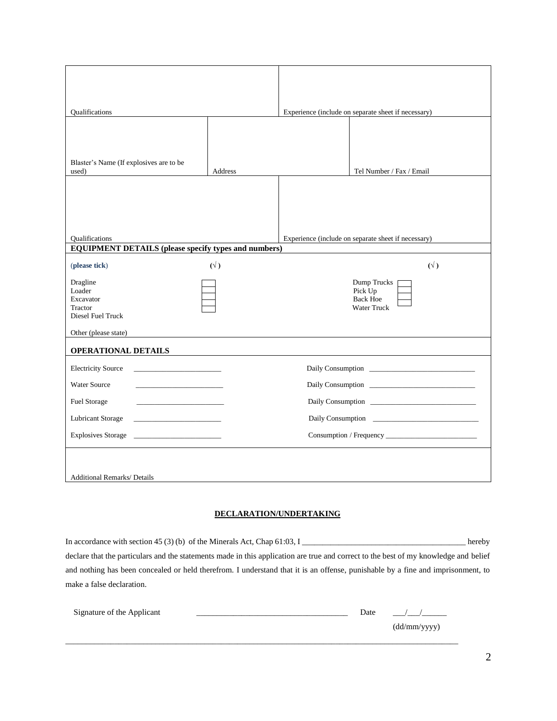| <b>Oualifications</b>                                           |                   | Experience (include on separate sheet if necessary) |                                                          |  |
|-----------------------------------------------------------------|-------------------|-----------------------------------------------------|----------------------------------------------------------|--|
| Blaster's Name (If explosives are to be<br>used)                | Address           |                                                     | Tel Number / Fax / Email                                 |  |
| <b>Qualifications</b>                                           |                   | Experience (include on separate sheet if necessary) |                                                          |  |
| <b>EQUIPMENT DETAILS (please specify types and numbers)</b>     |                   |                                                     |                                                          |  |
| (please tick)                                                   | $(\forall)$       |                                                     | $(\forall)$                                              |  |
| Dragline<br>Loader<br>Excavator<br>Tractor<br>Diesel Fuel Truck |                   |                                                     | Dump Trucks<br>Pick Up<br><b>Back Hoe</b><br>Water Truck |  |
| Other (please state)                                            |                   |                                                     |                                                          |  |
| <b>OPERATIONAL DETAILS</b>                                      |                   |                                                     |                                                          |  |
| <b>Electricity Source</b>                                       |                   |                                                     |                                                          |  |
| <b>Water Source</b>                                             |                   |                                                     |                                                          |  |
| Fuel Storage                                                    |                   |                                                     |                                                          |  |
| <b>Lubricant Storage</b>                                        | Daily Consumption |                                                     |                                                          |  |
| <b>Explosives Storage</b>                                       |                   |                                                     |                                                          |  |
| <b>Additional Remarks/ Details</b>                              |                   |                                                     |                                                          |  |

### **DECLARATION/UNDERTAKING**

| In accordance with section 45 (3) (b) of the Minerals Act, Chap $61:03$ , I                                                          | hereby |
|--------------------------------------------------------------------------------------------------------------------------------------|--------|
| declare that the particulars and the statements made in this application are true and correct to the best of my knowledge and belief |        |
| and nothing has been concealed or held therefrom. I understand that it is an offense, punishable by a fine and imprisonment, to      |        |
| make a false declaration.                                                                                                            |        |

| Signature of the Applicant | Date |              |
|----------------------------|------|--------------|
|                            |      | (dd/mm/yyyy) |
|                            |      |              |